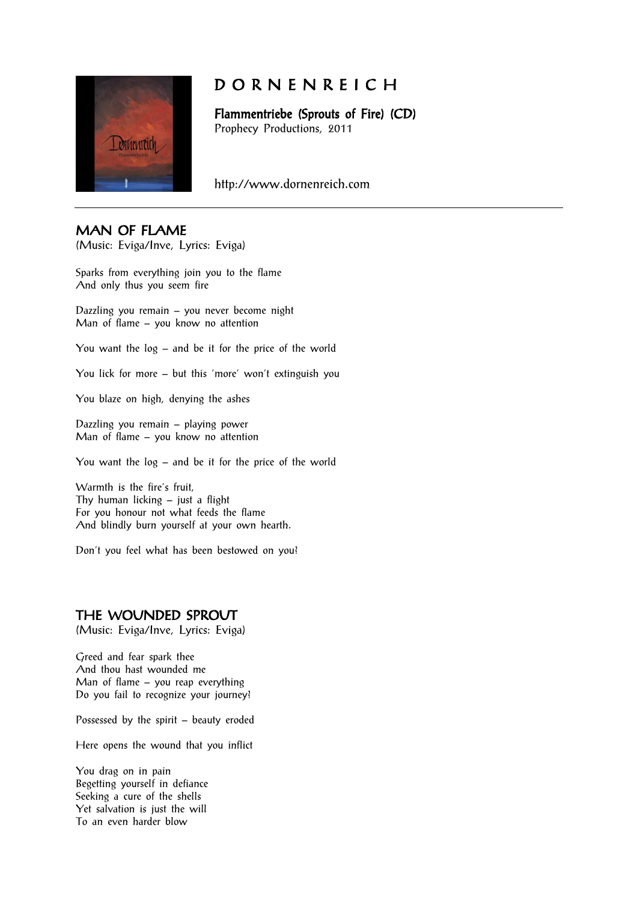

# D O R N E N R E I C H

Flammentriebe (Sprouts of Fire) (CD) Prophecy Productions, 2011

http://www.dornenreich.com

## MAN OF FLAME

(Music: Eviga/Inve, Lyrics: Eviga)

Sparks from everything join you to the flame And only thus you seem fire

Dazzling you remain – you never become night Man of flame – you know no attention

You want the log – and be it for the price of the world

You lick for more – but this 'more' won't extinguish you

You blaze on high, denying the ashes

Dazzling you remain – playing power Man of flame – you know no attention

You want the log – and be it for the price of the world

Warmth is the fire's fruit, Thy human licking – just a flight For you honour not what feeds the flame And blindly burn yourself at your own hearth.

Don't you feel what has been bestowed on you?

### THE WOUNDED SPROUT

(Music: Eviga/Inve, Lyrics: Eviga)

Greed and fear spark thee And thou hast wounded me Man of flame – you reap everything Do you fail to recognize your journey?

Possessed by the spirit – beauty eroded

Here opens the wound that you inflict

You drag on in pain Begetting yourself in defiance Seeking a cure of the shells Yet salvation is just the will To an even harder blow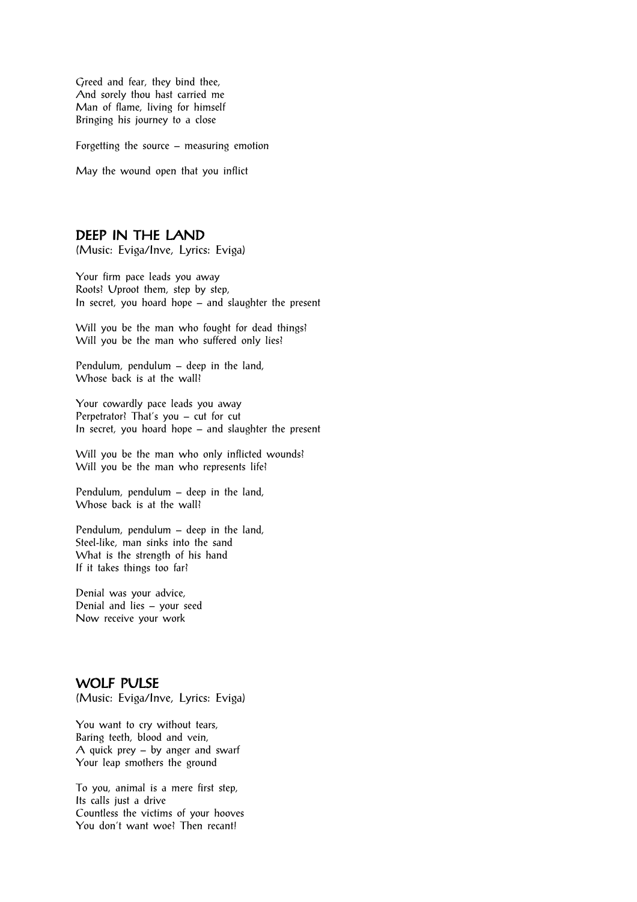Greed and fear, they bind thee, And sorely thou hast carried me Man of flame, living for himself Bringing his journey to a close

Forgetting the source – measuring emotion

May the wound open that you inflict

# DEEP IN THE LAND

(Music: Eviga/Inve, Lyrics: Eviga)

Your firm pace leads you away Roots? Uproot them, step by step, In secret, you hoard hope – and slaughter the present

Will you be the man who fought for dead things? Will you be the man who suffered only lies?

Pendulum, pendulum – deep in the land, Whose back is at the wall?

Your cowardly pace leads you away Perpetrator? That's you – cut for cut In secret, you hoard hope – and slaughter the present

Will you be the man who only inflicted wounds? Will you be the man who represents life?

Pendulum, pendulum – deep in the land, Whose back is at the wall?

Pendulum, pendulum – deep in the land, Steel-like, man sinks into the sand What is the strength of his hand If it takes things too far?

Denial was your advice, Denial and lies – your seed Now receive your work

#### WOLF PULSE

(Music: Eviga/Inve, Lyrics: Eviga)

You want to cry without tears, Baring teeth, blood and vein, A quick prey – by anger and swarf Your leap smothers the ground

To you, animal is a mere first step, Its calls just a drive Countless the victims of your hooves You don't want woe? Then recant!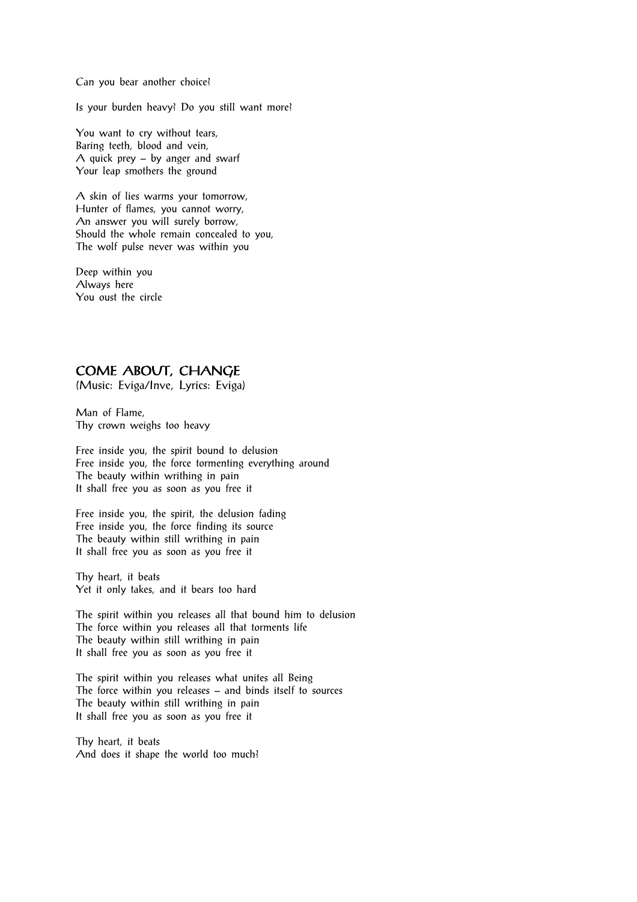Can you bear another choice?

Is your burden heavy? Do you still want more?

You want to cry without tears, Baring teeth, blood and vein, A quick prey – by anger and swarf Your leap smothers the ground

A skin of lies warms your tomorrow, Hunter of flames, you cannot worry, An answer you will surely borrow, Should the whole remain concealed to you, The wolf pulse never was within you

Deep within you Always here You oust the circle

# COME ABOUT, CHANGE

(Music: Eviga/Inve, Lyrics: Eviga)

Man of Flame, Thy crown weighs too heavy

Free inside you, the spirit bound to delusion Free inside you, the force tormenting everything around The beauty within writhing in pain It shall free you as soon as you free it

Free inside you, the spirit, the delusion fading Free inside you, the force finding its source The beauty within still writhing in pain It shall free you as soon as you free it

Thy heart, it beats Yet it only takes, and it bears too hard

The spirit within you releases all that bound him to delusion The force within you releases all that torments life The beauty within still writhing in pain It shall free you as soon as you free it

The spirit within you releases what unites all Being The force within you releases – and binds itself to sources The beauty within still writhing in pain It shall free you as soon as you free it

Thy heart, it beats And does it shape the world too much?